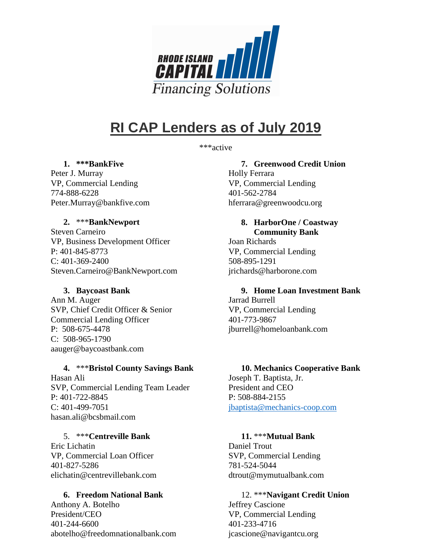

# **RI CAP Lenders as of July 2019**

\*\*\*active

#### **1. \*\*\*BankFive**

Peter J. Murray VP, Commercial Lending 774-888-6228 Peter.Murray@bankfive.com

## **2.** \*\*\***BankNewport**

Steven Carneiro VP, Business Development Officer P: 401-845-8773 C: 401-369-2400 Steven.Carneiro@BankNewport.com

# **3. Baycoast Bank**

Ann M. Auger SVP, Chief Credit Officer & Senior Commercial Lending Officer P: 508-675-4478 C: 508-965-1790 aauger@baycoastbank.com

# **4.** \*\*\***Bristol County Savings Bank**

Hasan Ali SVP, Commercial Lending Team Leader P: 401-722-8845 C: 401-499-7051 hasan.ali@bcsbmail.com

#### 5. \*\*\***Centreville Bank**

Eric Lichatin VP, Commercial Loan Officer 401-827-5286 elichatin@centrevillebank.com

#### **6. Freedom National Bank**

Anthony A. Botelho President/CEO 401-244-6600 abotelho@freedomnationalbank.com

# **7. Greenwood Credit Union**

Holly Ferrara VP, Commercial Lending 401-562-2784 hferrara@greenwoodcu.org

**8. HarborOne / Coastway Community Bank**  Joan Richards VP, Commercial Lending 508-895-1291 jrichards@harborone.com

**9. Home Loan Investment Bank**  Jarrad Burrell VP, Commercial Lending 401-773-9867 jburrell@homeloanbank.com

# **10. Mechanics Cooperative Bank**

Joseph T. Baptista, Jr. President and CEO P: 508-884-2155 jbaptista@mechanics-coop.com

# **11.** \*\*\***Mutual Bank**

Daniel Trout SVP, Commercial Lending 781-524-5044 dtrout@mymutualbank.com

12. \*\*\***Navigant Credit Union** Jeffrey Cascione VP, Commercial Lending 401-233-4716 jcascione@navigantcu.org